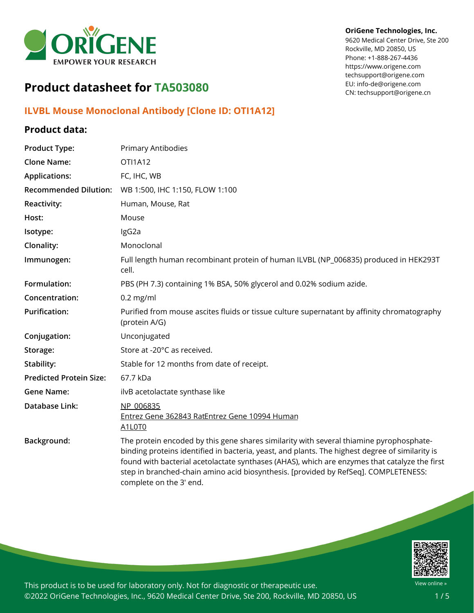

#### **OriGene Technologies, Inc.**

9620 Medical Center Drive, Ste 200 Rockville, MD 20850, US Phone: +1-888-267-4436 https://www.origene.com techsupport@origene.com EU: info-de@origene.com CN: techsupport@origene.cn

# **Product datasheet for TA503080**

# **ILVBL Mouse Monoclonal Antibody [Clone ID: OTI1A12]**

## **Product data:**

| <b>Product Type:</b>           | <b>Primary Antibodies</b>                                                                                                                                                                                                                                                                                                                                                                                     |
|--------------------------------|---------------------------------------------------------------------------------------------------------------------------------------------------------------------------------------------------------------------------------------------------------------------------------------------------------------------------------------------------------------------------------------------------------------|
| <b>Clone Name:</b>             | OTI1A12                                                                                                                                                                                                                                                                                                                                                                                                       |
| <b>Applications:</b>           | FC, IHC, WB                                                                                                                                                                                                                                                                                                                                                                                                   |
| <b>Recommended Dilution:</b>   | WB 1:500, IHC 1:150, FLOW 1:100                                                                                                                                                                                                                                                                                                                                                                               |
| <b>Reactivity:</b>             | Human, Mouse, Rat                                                                                                                                                                                                                                                                                                                                                                                             |
| Host:                          | Mouse                                                                                                                                                                                                                                                                                                                                                                                                         |
| Isotype:                       | IgG2a                                                                                                                                                                                                                                                                                                                                                                                                         |
| Clonality:                     | Monoclonal                                                                                                                                                                                                                                                                                                                                                                                                    |
| Immunogen:                     | Full length human recombinant protein of human ILVBL (NP_006835) produced in HEK293T<br>cell.                                                                                                                                                                                                                                                                                                                 |
| Formulation:                   | PBS (PH 7.3) containing 1% BSA, 50% glycerol and 0.02% sodium azide.                                                                                                                                                                                                                                                                                                                                          |
| Concentration:                 | $0.2$ mg/ml                                                                                                                                                                                                                                                                                                                                                                                                   |
| <b>Purification:</b>           | Purified from mouse ascites fluids or tissue culture supernatant by affinity chromatography<br>(protein A/G)                                                                                                                                                                                                                                                                                                  |
| Conjugation:                   | Unconjugated                                                                                                                                                                                                                                                                                                                                                                                                  |
| Storage:                       | Store at -20°C as received.                                                                                                                                                                                                                                                                                                                                                                                   |
| Stability:                     | Stable for 12 months from date of receipt.                                                                                                                                                                                                                                                                                                                                                                    |
| <b>Predicted Protein Size:</b> | 67.7 kDa                                                                                                                                                                                                                                                                                                                                                                                                      |
| <b>Gene Name:</b>              | ilvB acetolactate synthase like                                                                                                                                                                                                                                                                                                                                                                               |
| Database Link:                 | NP 006835<br>Entrez Gene 362843 RatEntrez Gene 10994 Human<br>A1L0T0                                                                                                                                                                                                                                                                                                                                          |
| Background:                    | The protein encoded by this gene shares similarity with several thiamine pyrophosphate-<br>binding proteins identified in bacteria, yeast, and plants. The highest degree of similarity is<br>found with bacterial acetolactate synthases (AHAS), which are enzymes that catalyze the first<br>step in branched-chain amino acid biosynthesis. [provided by RefSeq]. COMPLETENESS:<br>complete on the 3' end. |

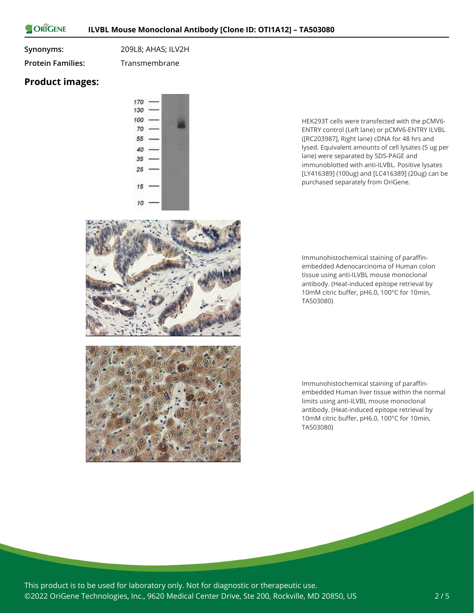ORIGENE

**Synonyms:** 209L8; AHAS; ILV2H

**Protein Families:** Transmembrane

### **Product images:**



HEK293T cells were transfected with the pCMV6- ENTRY control (Left lane) or pCMV6-ENTRY ILVBL ([RC203987], Right lane) cDNA for 48 hrs and lysed. Equivalent amounts of cell lysates (5 ug per lane) were separated by SDS-PAGE and immunoblotted with anti-ILVBL. Positive lysates [LY416389] (100ug) and [LC416389] (20ug) can be purchased separately from OriGene.

Immunohistochemical staining of paraffinembedded Adenocarcinoma of Human colon tissue using anti-ILVBL mouse monoclonal antibody. (Heat-induced epitope retrieval by 10mM citric buffer, pH6.0, 100°C for 10min, TA503080)

Immunohistochemical staining of paraffinembedded Human liver tissue within the normal limits using anti-ILVBL mouse monoclonal antibody. (Heat-induced epitope retrieval by 10mM citric buffer, pH6.0, 100°C for 10min, TA503080)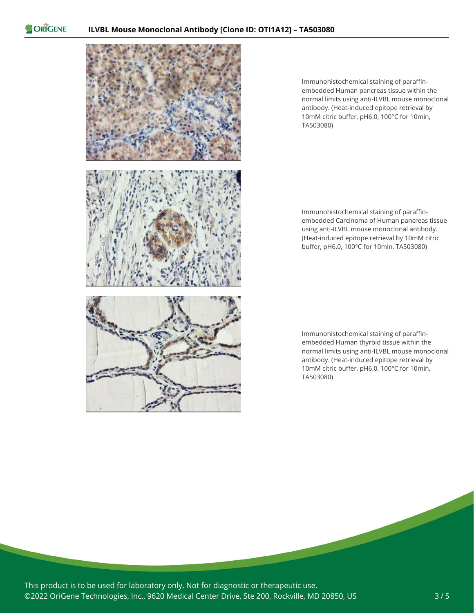ORIGENE



Immunohistochemical staining of paraffinembedded Human pancreas tissue within the normal limits using anti-ILVBL mouse monoclonal antibody. (Heat-induced epitope retrieval by 10mM citric buffer, pH6.0, 100°C for 10min, TA503080)

Immunohistochemical staining of paraffinembedded Carcinoma of Human pancreas tissue using anti-ILVBL mouse monoclonal antibody. (Heat-induced epitope retrieval by 10mM citric buffer, pH6.0, 100°C for 10min, TA503080)

Immunohistochemical staining of paraffinembedded Human thyroid tissue within the normal limits using anti-ILVBL mouse monoclonal antibody. (Heat-induced epitope retrieval by 10mM citric buffer, pH6.0, 100°C for 10min, TA503080)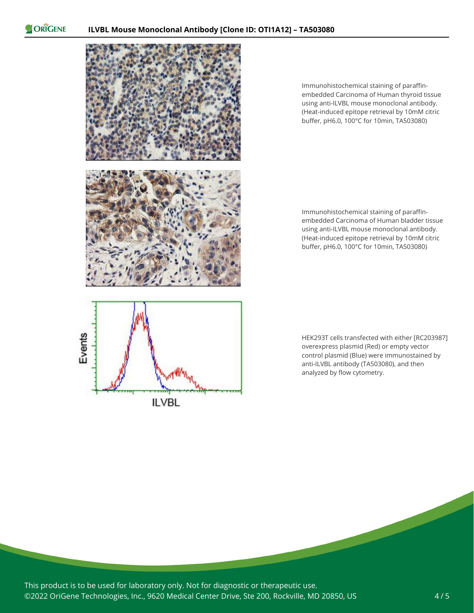ORIGENE



**ILVBL** 

Immunohistochemical staining of paraffinembedded Carcinoma of Human thyroid tissue using anti-ILVBL mouse monoclonal antibody. (Heat-induced epitope retrieval by 10mM citric buffer, pH6.0, 100°C for 10min, TA503080)

Immunohistochemical staining of paraffinembedded Carcinoma of Human bladder tissue using anti-ILVBL mouse monoclonal antibody. (Heat-induced epitope retrieval by 10mM citric buffer, pH6.0, 100°C for 10min, TA503080)

HEK293T cells transfected with either [RC203987] overexpress plasmid (Red) or empty vector control plasmid (Blue) were immunostained by anti-ILVBL antibody (TA503080), and then analyzed by flow cytometry.